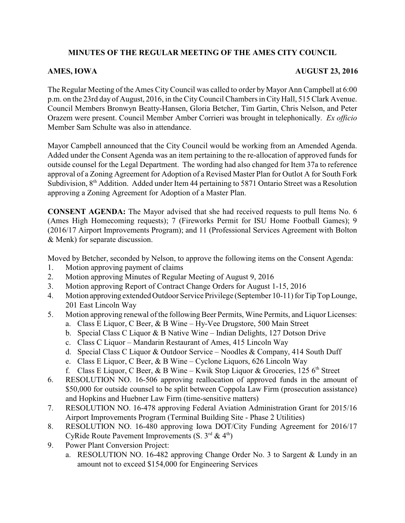# **MINUTES OF THE REGULAR MEETING OF THE AMES CITY COUNCIL**

## **AMES, IOWA AUGUST 23, 2016**

The Regular Meeting of the Ames City Council was called to order by Mayor Ann Campbell at 6:00 p.m. on the 23rd day of August, 2016, in the CityCouncil Chambers in City Hall, 515 Clark Avenue. Council Members Bronwyn Beatty-Hansen, Gloria Betcher, Tim Gartin, Chris Nelson, and Peter Orazem were present. Council Member Amber Corrieri was brought in telephonically. *Ex officio* Member Sam Schulte was also in attendance.

Mayor Campbell announced that the City Council would be working from an Amended Agenda. Added under the Consent Agenda was an item pertaining to the re-allocation of approved funds for outside counsel for the Legal Department. The wording had also changed for Item 37a to reference approval of a Zoning Agreement for Adoption of a Revised Master Plan for Outlot A for South Fork Subdivision,  $8<sup>th</sup>$  Addition. Added under Item 44 pertaining to 5871 Ontario Street was a Resolution approving a Zoning Agreement for Adoption of a Master Plan.

**CONSENT AGENDA:** The Mayor advised that she had received requests to pull Items No. 6 (Ames High Homecoming requests); 7 (Fireworks Permit for ISU Home Football Games); 9 (2016/17 Airport Improvements Program); and 11 (Professional Services Agreement with Bolton & Menk) for separate discussion.

Moved by Betcher, seconded by Nelson, to approve the following items on the Consent Agenda:

- 1. Motion approving payment of claims
- 2. Motion approving Minutes of Regular Meeting of August 9, 2016
- 3. Motion approving Report of Contract Change Orders for August 1-15, 2016
- 4. Motion approving extended Outdoor Service Privilege (September 10-11) for Tip Top Lounge, 201 East Lincoln Way
- 5. Motion approving renewal of the following Beer Permits, Wine Permits, and Liquor Licenses:
	- a. Class E Liquor, C Beer, & B Wine Hy-Vee Drugstore, 500 Main Street
	- b. Special Class C Liquor & B Native Wine Indian Delights, 127 Dotson Drive
	- c. Class C Liquor Mandarin Restaurant of Ames, 415 Lincoln Way
	- d. Special Class C Liquor & Outdoor Service Noodles & Company, 414 South Duff
	- e. Class E Liquor, C Beer, & B Wine Cyclone Liquors, 626 Lincoln Way
	- f. Class E Liquor, C Beer, & B Wine Kwik Stop Liquor & Groceries, 125  $6<sup>th</sup>$  Street
- 6. RESOLUTION NO. 16-506 approving reallocation of approved funds in the amount of \$50,000 for outside counsel to be split between Coppola Law Firm (prosecution assistance) and Hopkins and Huebner Law Firm (time-sensitive matters)
- 7. RESOLUTION NO. 16-478 approving Federal Aviation Administration Grant for 2015/16 Airport Improvements Program (Terminal Building Site - Phase 2 Utilities)
- 8. RESOLUTION NO. 16-480 approving Iowa DOT/City Funding Agreement for 2016/17 CyRide Route Pavement Improvements (S.  $3^{rd}$  & 4<sup>th</sup>)
- 9. Power Plant Conversion Project:
	- a. RESOLUTION NO. 16-482 approving Change Order No. 3 to Sargent & Lundy in an amount not to exceed \$154,000 for Engineering Services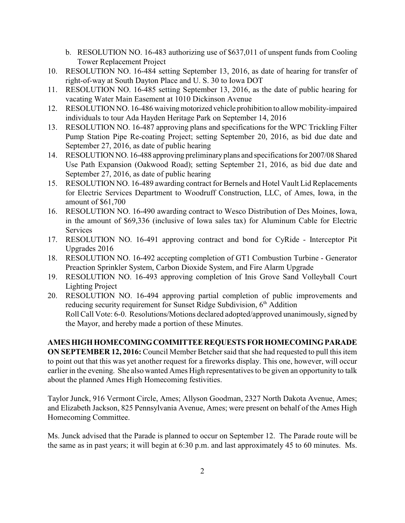- b. RESOLUTION NO. 16-483 authorizing use of \$637,011 of unspent funds from Cooling Tower Replacement Project
- 10. RESOLUTION NO. 16-484 setting September 13, 2016, as date of hearing for transfer of right-of-way at South Dayton Place and U. S. 30 to Iowa DOT
- 11. RESOLUTION NO. 16-485 setting September 13, 2016, as the date of public hearing for vacating Water Main Easement at 1010 Dickinson Avenue
- 12. RESOLUTION NO. 16-486 waiving motorized vehicle prohibition to allow mobility-impaired individuals to tour Ada Hayden Heritage Park on September 14, 2016
- 13. RESOLUTION NO. 16-487 approving plans and specifications for the WPC Trickling Filter Pump Station Pipe Re-coating Project; setting September 20, 2016, as bid due date and September 27, 2016, as date of public hearing
- 14. RESOLUTION NO. 16-488 approving preliminary plans and specifications for 2007/08 Shared Use Path Expansion (Oakwood Road); setting September 21, 2016, as bid due date and September 27, 2016, as date of public hearing
- 15. RESOLUTION NO. 16-489 awarding contract for Bernels and Hotel Vault Lid Replacements for Electric Services Department to Woodruff Construction, LLC, of Ames, Iowa, in the amount of \$61,700
- 16. RESOLUTION NO. 16-490 awarding contract to Wesco Distribution of Des Moines, Iowa, in the amount of \$69,336 (inclusive of Iowa sales tax) for Aluminum Cable for Electric **Services**
- 17. RESOLUTION NO. 16-491 approving contract and bond for CyRide Interceptor Pit Upgrades 2016
- 18. RESOLUTION NO. 16-492 accepting completion of GT1 Combustion Turbine Generator Preaction Sprinkler System, Carbon Dioxide System, and Fire Alarm Upgrade
- 19. RESOLUTION NO. 16-493 approving completion of Inis Grove Sand Volleyball Court Lighting Project
- 20. RESOLUTION NO. 16-494 approving partial completion of public improvements and reducing security requirement for Sunset Ridge Subdivision,  $6<sup>th</sup>$  Addition Roll Call Vote: 6-0. Resolutions/Motions declared adopted/approved unanimously, signed by the Mayor, and hereby made a portion of these Minutes.

# **AMES HIGH HOMECOMING COMMITTEE REQUESTS FOR HOMECOMING PARADE**

**ON SEPTEMBER 12, 2016:** Council Member Betcher said that she had requested to pull this item to point out that this was yet another request for a fireworks display. This one, however, will occur earlier in the evening. She also wanted Ames High representatives to be given an opportunity to talk about the planned Ames High Homecoming festivities.

Taylor Junck, 916 Vermont Circle, Ames; Allyson Goodman, 2327 North Dakota Avenue, Ames; and Elizabeth Jackson, 825 Pennsylvania Avenue, Ames; were present on behalf of the Ames High Homecoming Committee.

Ms. Junck advised that the Parade is planned to occur on September 12. The Parade route will be the same as in past years; it will begin at 6:30 p.m. and last approximately 45 to 60 minutes. Ms.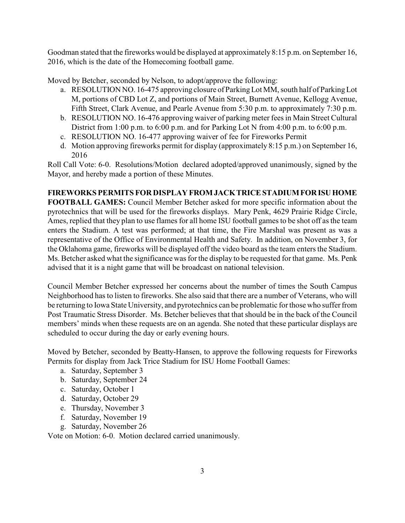Goodman stated that the fireworks would be displayed at approximately 8:15 p.m. on September 16, 2016, which is the date of the Homecoming football game.

Moved by Betcher, seconded by Nelson, to adopt/approve the following:

- a. RESOLUTION NO. 16-475 approving closure of Parking Lot MM, south half of Parking Lot M, portions of CBD Lot Z, and portions of Main Street, Burnett Avenue, Kellogg Avenue, Fifth Street, Clark Avenue, and Pearle Avenue from 5:30 p.m. to approximately 7:30 p.m.
- b. RESOLUTION NO. 16-476 approving waiver of parking meter fees in Main Street Cultural District from 1:00 p.m. to 6:00 p.m. and for Parking Lot N from 4:00 p.m. to 6:00 p.m.
- c. RESOLUTION NO. 16-477 approving waiver of fee for Fireworks Permit
- d. Motion approving fireworks permit for display (approximately 8:15 p.m.) on September 16, 2016

Roll Call Vote: 6-0. Resolutions/Motion declared adopted/approved unanimously, signed by the Mayor, and hereby made a portion of these Minutes.

# **FIREWORKS PERMITS FOR DISPLAY FROM JACK TRICE STADIUM FOR ISU HOME**

**FOOTBALL GAMES:** Council Member Betcher asked for more specific information about the pyrotechnics that will be used for the fireworks displays. Mary Penk, 4629 Prairie Ridge Circle, Ames, replied that they plan to use flames for all home ISU football games to be shot off as the team enters the Stadium. A test was performed; at that time, the Fire Marshal was present as was a representative of the Office of Environmental Health and Safety. In addition, on November 3, for the Oklahoma game, fireworks will be displayed off the video board as the team enters the Stadium. Ms. Betcher asked what the significance was for the display to be requested for that game. Ms. Penk advised that it is a night game that will be broadcast on national television.

Council Member Betcher expressed her concerns about the number of times the South Campus Neighborhood has to listen to fireworks. She also said that there are a number of Veterans, who will be returning to Iowa State University, and pyrotechnics can be problematic for those who suffer from Post Traumatic Stress Disorder. Ms. Betcher believes that that should be in the back of the Council members' minds when these requests are on an agenda. She noted that these particular displays are scheduled to occur during the day or early evening hours.

Moved by Betcher, seconded by Beatty-Hansen, to approve the following requests for Fireworks Permits for display from Jack Trice Stadium for ISU Home Football Games:

- a. Saturday, September 3
- b. Saturday, September 24
- c. Saturday, October 1
- d. Saturday, October 29
- e. Thursday, November 3
- f. Saturday, November 19
- g. Saturday, November 26

Vote on Motion: 6-0. Motion declared carried unanimously.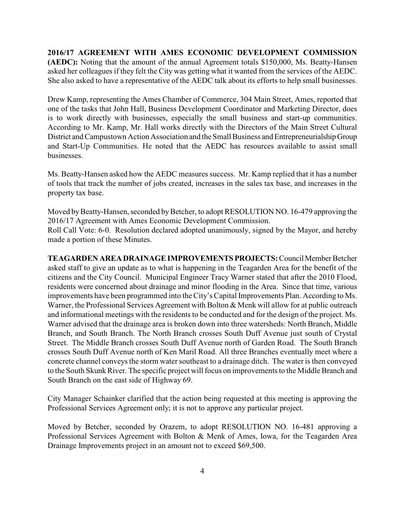**2016/17 AGREEMENT WITH AMES ECONOMIC DEVELOPMENT COMMISSION (AEDC):** Noting that the amount of the annual Agreement totals \$150,000, Ms. Beatty-Hansen asked her colleagues if they felt the City was getting what it wanted from the services of the AEDC. She also asked to have a representative of the AEDC talk about its efforts to help small businesses.

Drew Kamp, representing the Ames Chamber of Commerce, 304 Main Street, Ames, reported that one of the tasks that John Hall, Business Development Coordinator and Marketing Director, does is to work directly with businesses, especially the small business and start-up communities. According to Mr. Kamp, Mr. Hall works directly with the Directors of the Main Street Cultural District and Campustown Action Association and the Small Business and Entrepreneurialship Group and Start-Up Communities. He noted that the AEDC has resources available to assist small businesses.

Ms. Beatty-Hansen asked how the AEDC measures success. Mr. Kamp replied that it has a number of tools that track the number of jobs created, increases in the sales tax base, and increases in the property tax base.

Moved by Beatty-Hansen, seconded by Betcher, to adopt RESOLUTION NO. 16-479 approving the 2016/17 Agreement with Ames Economic Development Commission. Roll Call Vote: 6-0. Resolution declared adopted unanimously, signed by the Mayor, and hereby made a portion of these Minutes.

**TEAGARDEN AREA DRAINAGE IMPROVEMENTS PROJECTS:** Council Member Betcher asked staff to give an update as to what is happening in the Teagarden Area for the benefit of the citizens and the City Council. Municipal Engineer Tracy Warner stated that after the 2010 Flood, residents were concerned about drainage and minor flooding in the Area. Since that time, various improvements have been programmed into the City's Capital Improvements Plan. According to Ms. Warner, the Professional Services Agreement with Bolton & Menk will allow for at public outreach and informational meetings with the residents to be conducted and for the design of the project. Ms. Warner advised that the drainage area is broken down into three watersheds: North Branch, Middle Branch, and South Branch. The North Branch crosses South Duff Avenue just south of Crystal Street. The Middle Branch crosses South Duff Avenue north of Garden Road. The South Branch crosses South Duff Avenue north of Ken Maril Road. All three Branches eventually meet where a concrete channel conveys the storm water southeast to a drainage ditch. The water is then conveyed to the South Skunk River. The specific project will focus on improvements to the Middle Branch and South Branch on the east side of Highway 69.

City Manager Schainker clarified that the action being requested at this meeting is approving the Professional Services Agreement only; it is not to approve any particular project.

Moved by Betcher, seconded by Orazem, to adopt RESOLUTION NO. 16-481 approving a Professional Services Agreement with Bolton & Menk of Ames, Iowa, for the Teagarden Area Drainage Improvements project in an amount not to exceed \$69,500.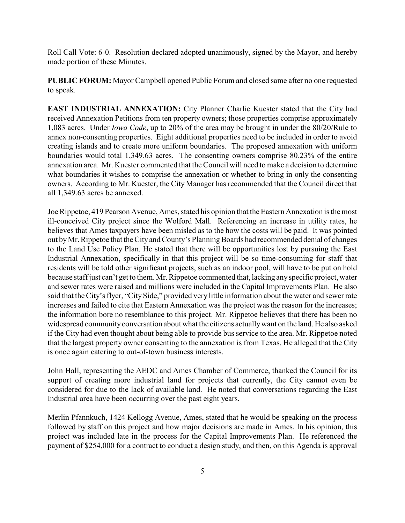Roll Call Vote: 6-0. Resolution declared adopted unanimously, signed by the Mayor, and hereby made portion of these Minutes.

**PUBLIC FORUM:** Mayor Campbell opened Public Forum and closed same after no one requested to speak.

**EAST INDUSTRIAL ANNEXATION:** City Planner Charlie Kuester stated that the City had received Annexation Petitions from ten property owners; those properties comprise approximately 1,083 acres. Under *Iowa Code*, up to 20% of the area may be brought in under the 80/20/Rule to annex non-consenting properties. Eight additional properties need to be included in order to avoid creating islands and to create more uniform boundaries. The proposed annexation with uniform boundaries would total 1,349.63 acres. The consenting owners comprise 80.23% of the entire annexation area. Mr. Kuester commented that the Council will need to make a decision to determine what boundaries it wishes to comprise the annexation or whether to bring in only the consenting owners. According to Mr. Kuester, the City Manager has recommended that the Council direct that all 1,349.63 acres be annexed.

Joe Rippetoe, 419 Pearson Avenue, Ames, stated his opinion that the Eastern Annexation is the most ill-conceived City project since the Wolford Mall. Referencing an increase in utility rates, he believes that Ames taxpayers have been misled as to the how the costs will be paid. It was pointed out by Mr. Rippetoe that the City and County's Planning Boards had recommended denial of changes to the Land Use Policy Plan. He stated that there will be opportunities lost by pursuing the East Industrial Annexation, specifically in that this project will be so time-consuming for staff that residents will be told other significant projects, such as an indoor pool, will have to be put on hold because staff just can't get to them. Mr. Rippetoe commented that, lacking any specific project, water and sewer rates were raised and millions were included in the Capital Improvements Plan. He also said that the City's flyer, "City Side," provided very little information about the water and sewer rate increases and failed to cite that Eastern Annexation was the project was the reason for the increases; the information bore no resemblance to this project. Mr. Rippetoe believes that there has been no widespread community conversation about what the citizens actually want on the land. He also asked if the City had even thought about being able to provide bus service to the area. Mr. Rippetoe noted that the largest property owner consenting to the annexation is from Texas. He alleged that the City is once again catering to out-of-town business interests.

John Hall, representing the AEDC and Ames Chamber of Commerce, thanked the Council for its support of creating more industrial land for projects that currently, the City cannot even be considered for due to the lack of available land. He noted that conversations regarding the East Industrial area have been occurring over the past eight years.

Merlin Pfannkuch, 1424 Kellogg Avenue, Ames, stated that he would be speaking on the process followed by staff on this project and how major decisions are made in Ames. In his opinion, this project was included late in the process for the Capital Improvements Plan. He referenced the payment of \$254,000 for a contract to conduct a design study, and then, on this Agenda is approval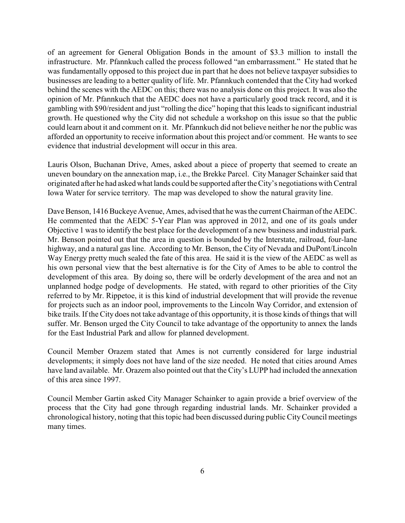of an agreement for General Obligation Bonds in the amount of \$3.3 million to install the infrastructure. Mr. Pfannkuch called the process followed "an embarrassment." He stated that he was fundamentally opposed to this project due in part that he does not believe taxpayer subsidies to businesses are leading to a better quality of life. Mr. Pfannkuch contended that the City had worked behind the scenes with the AEDC on this; there was no analysis done on this project. It was also the opinion of Mr. Pfannkuch that the AEDC does not have a particularly good track record, and it is gambling with \$90/resident and just "rolling the dice" hoping that this leads to significant industrial growth. He questioned why the City did not schedule a workshop on this issue so that the public could learn about it and comment on it. Mr. Pfannkuch did not believe neither he nor the public was afforded an opportunity to receive information about this project and/or comment. He wants to see evidence that industrial development will occur in this area.

Lauris Olson, Buchanan Drive, Ames, asked about a piece of property that seemed to create an uneven boundary on the annexation map, i.e., the Brekke Parcel. City Manager Schainker said that originated after he had asked what lands could be supported after the City's negotiations with Central Iowa Water for service territory. The map was developed to show the natural gravity line.

Dave Benson, 1416 Buckeye Avenue, Ames, advised that he was the current Chairman of the AEDC. He commented that the AEDC 5-Year Plan was approved in 2012, and one of its goals under Objective 1 was to identify the best place for the development of a new business and industrial park. Mr. Benson pointed out that the area in question is bounded by the Interstate, railroad, four-lane highway, and a natural gas line. According to Mr. Benson, the City of Nevada and DuPont/Lincoln Way Energy pretty much sealed the fate of this area. He said it is the view of the AEDC as well as his own personal view that the best alternative is for the City of Ames to be able to control the development of this area. By doing so, there will be orderly development of the area and not an unplanned hodge podge of developments. He stated, with regard to other priorities of the City referred to by Mr. Rippetoe, it is this kind of industrial development that will provide the revenue for projects such as an indoor pool, improvements to the Lincoln Way Corridor, and extension of bike trails. If the City does not take advantage of this opportunity, it is those kinds of things that will suffer. Mr. Benson urged the City Council to take advantage of the opportunity to annex the lands for the East Industrial Park and allow for planned development.

Council Member Orazem stated that Ames is not currently considered for large industrial developments; it simply does not have land of the size needed. He noted that cities around Ames have land available. Mr. Orazem also pointed out that the City's LUPP had included the annexation of this area since 1997.

Council Member Gartin asked City Manager Schainker to again provide a brief overview of the process that the City had gone through regarding industrial lands. Mr. Schainker provided a chronological history, noting that this topic had been discussed during public City Council meetings many times.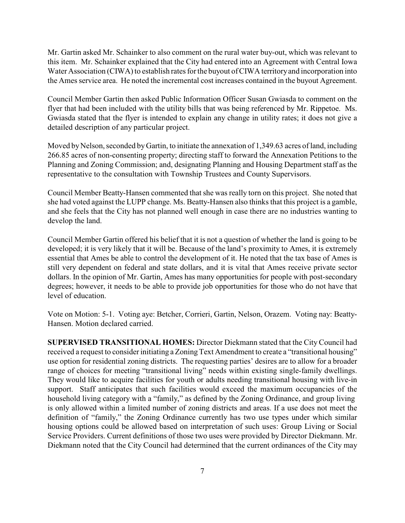Mr. Gartin asked Mr. Schainker to also comment on the rural water buy-out, which was relevant to this item. Mr. Schainker explained that the City had entered into an Agreement with Central Iowa Water Association (CIWA) to establish rates for the buyout of CIWA territory and incorporation into the Ames service area. He noted the incremental cost increases contained in the buyout Agreement.

Council Member Gartin then asked Public Information Officer Susan Gwiasda to comment on the flyer that had been included with the utility bills that was being referenced by Mr. Rippetoe. Ms. Gwiasda stated that the flyer is intended to explain any change in utility rates; it does not give a detailed description of any particular project.

Moved by Nelson, seconded by Gartin, to initiate the annexation of 1,349.63 acres of land, including 266.85 acres of non-consenting property; directing staff to forward the Annexation Petitions to the Planning and Zoning Commission; and, designating Planning and Housing Department staff as the representative to the consultation with Township Trustees and County Supervisors.

Council Member Beatty-Hansen commented that she was really torn on this project. She noted that she had voted against the LUPP change. Ms. Beatty-Hansen also thinks that this project is a gamble, and she feels that the City has not planned well enough in case there are no industries wanting to develop the land.

Council Member Gartin offered his belief that it is not a question of whether the land is going to be developed; it is very likely that it will be. Because of the land's proximity to Ames, it is extremely essential that Ames be able to control the development of it. He noted that the tax base of Ames is still very dependent on federal and state dollars, and it is vital that Ames receive private sector dollars. In the opinion of Mr. Gartin, Ames has many opportunities for people with post-secondary degrees; however, it needs to be able to provide job opportunities for those who do not have that level of education.

Vote on Motion: 5-1. Voting aye: Betcher, Corrieri, Gartin, Nelson, Orazem. Voting nay: Beatty-Hansen. Motion declared carried.

**SUPERVISED TRANSITIONAL HOMES:** Director Diekmann stated that the City Council had received a request to consider initiating a Zoning Text Amendment to create a "transitional housing" use option for residential zoning districts. The requesting parties' desires are to allow for a broader range of choices for meeting "transitional living" needs within existing single-family dwellings. They would like to acquire facilities for youth or adults needing transitional housing with live-in support. Staff anticipates that such facilities would exceed the maximum occupancies of the household living category with a "family," as defined by the Zoning Ordinance, and group living is only allowed within a limited number of zoning districts and areas. If a use does not meet the definition of "family," the Zoning Ordinance currently has two use types under which similar housing options could be allowed based on interpretation of such uses: Group Living or Social Service Providers. Current definitions of those two uses were provided by Director Diekmann. Mr. Diekmann noted that the City Council had determined that the current ordinances of the City may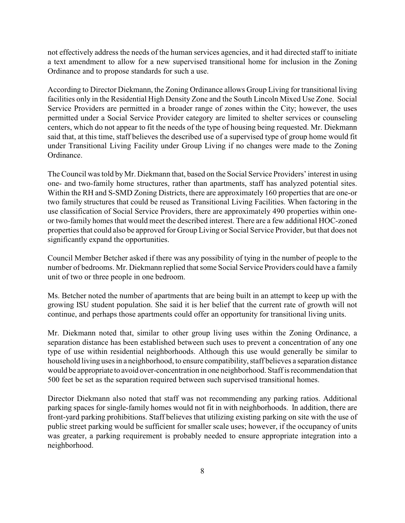not effectively address the needs of the human services agencies, and it had directed staff to initiate a text amendment to allow for a new supervised transitional home for inclusion in the Zoning Ordinance and to propose standards for such a use.

According to Director Diekmann, the Zoning Ordinance allows Group Living for transitional living facilities only in the Residential High Density Zone and the South Lincoln Mixed Use Zone. Social Service Providers are permitted in a broader range of zones within the City; however, the uses permitted under a Social Service Provider category are limited to shelter services or counseling centers, which do not appear to fit the needs of the type of housing being requested. Mr. Diekmann said that, at this time, staff believes the described use of a supervised type of group home would fit under Transitional Living Facility under Group Living if no changes were made to the Zoning Ordinance.

The Council was told byMr. Diekmann that, based on the Social Service Providers' interest in using one- and two-family home structures, rather than apartments, staff has analyzed potential sites. Within the RH and S-SMD Zoning Districts, there are approximately 160 properties that are one-or two family structures that could be reused as Transitional Living Facilities. When factoring in the use classification of Social Service Providers, there are approximately 490 properties within oneor two-family homes that would meet the described interest. There are a few additional HOC-zoned properties that could also be approved for Group Living or Social Service Provider, but that does not significantly expand the opportunities.

Council Member Betcher asked if there was any possibility of tying in the number of people to the number of bedrooms. Mr. Diekmann replied that some Social Service Providers could have a family unit of two or three people in one bedroom.

Ms. Betcher noted the number of apartments that are being built in an attempt to keep up with the growing ISU student population. She said it is her belief that the current rate of growth will not continue, and perhaps those apartments could offer an opportunity for transitional living units.

Mr. Diekmann noted that, similar to other group living uses within the Zoning Ordinance, a separation distance has been established between such uses to prevent a concentration of any one type of use within residential neighborhoods. Although this use would generally be similar to household living uses in a neighborhood, to ensure compatibility, staff believes a separation distance would be appropriate to avoid over-concentration in one neighborhood. Staff is recommendation that 500 feet be set as the separation required between such supervised transitional homes.

Director Diekmann also noted that staff was not recommending any parking ratios. Additional parking spaces for single-family homes would not fit in with neighborhoods. In addition, there are front-yard parking prohibitions. Staff believes that utilizing existing parking on site with the use of public street parking would be sufficient for smaller scale uses; however, if the occupancy of units was greater, a parking requirement is probably needed to ensure appropriate integration into a neighborhood.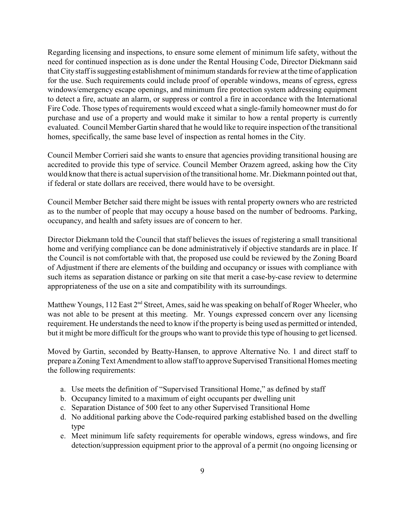Regarding licensing and inspections, to ensure some element of minimum life safety, without the need for continued inspection as is done under the Rental Housing Code, Director Diekmann said that City staff is suggesting establishment of minimum standards for review at the time of application for the use. Such requirements could include proof of operable windows, means of egress, egress windows/emergency escape openings, and minimum fire protection system addressing equipment to detect a fire, actuate an alarm, or suppress or control a fire in accordance with the International Fire Code. Those types of requirements would exceed what a single-family homeowner must do for purchase and use of a property and would make it similar to how a rental property is currently evaluated. Council Member Gartin shared that he would like to require inspection of the transitional homes, specifically, the same base level of inspection as rental homes in the City.

Council Member Corrieri said she wants to ensure that agencies providing transitional housing are accredited to provide this type of service. Council Member Orazem agreed, asking how the City would know that there is actual supervision of the transitional home. Mr. Diekmann pointed out that, if federal or state dollars are received, there would have to be oversight.

Council Member Betcher said there might be issues with rental property owners who are restricted as to the number of people that may occupy a house based on the number of bedrooms. Parking, occupancy, and health and safety issues are of concern to her.

Director Diekmann told the Council that staff believes the issues of registering a small transitional home and verifying compliance can be done administratively if objective standards are in place. If the Council is not comfortable with that, the proposed use could be reviewed by the Zoning Board of Adjustment if there are elements of the building and occupancy or issues with compliance with such items as separation distance or parking on site that merit a case-by-case review to determine appropriateness of the use on a site and compatibility with its surroundings.

Matthew Youngs, 112 East 2<sup>nd</sup> Street, Ames, said he was speaking on behalf of Roger Wheeler, who was not able to be present at this meeting. Mr. Youngs expressed concern over any licensing requirement. He understands the need to know if the property is being used as permitted or intended, but it might be more difficult for the groups who want to provide this type of housing to get licensed.

Moved by Gartin, seconded by Beatty-Hansen, to approve Alternative No. 1 and direct staff to prepare a Zoning Text Amendment to allow staff to approve Supervised Transitional Homes meeting the following requirements:

- a. Use meets the definition of "Supervised Transitional Home," as defined by staff
- b. Occupancy limited to a maximum of eight occupants per dwelling unit
- c. Separation Distance of 500 feet to any other Supervised Transitional Home
- d. No additional parking above the Code-required parking established based on the dwelling type
- e. Meet minimum life safety requirements for operable windows, egress windows, and fire detection/suppression equipment prior to the approval of a permit (no ongoing licensing or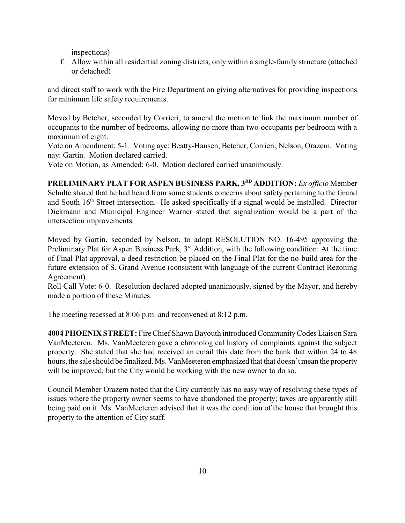inspections)

f. Allow within all residential zoning districts, only within a single-family structure (attached or detached)

and direct staff to work with the Fire Department on giving alternatives for providing inspections for minimum life safety requirements.

Moved by Betcher, seconded by Corrieri, to amend the motion to link the maximum number of occupants to the number of bedrooms, allowing no more than two occupants per bedroom with a maximum of eight.

Vote on Amendment: 5-1. Voting aye: Beatty-Hansen, Betcher, Corrieri, Nelson, Orazem. Voting nay: Gartin. Motion declared carried.

Vote on Motion, as Amended: 6-0. Motion declared carried unanimously.

**PRELIMINARY PLAT FOR ASPEN BUSINESS PARK, 3RD ADDITION:** *Ex officio* Member Schulte shared that he had heard from some students concerns about safety pertaining to the Grand and South 16<sup>th</sup> Street intersection. He asked specifically if a signal would be installed. Director Diekmann and Municipal Engineer Warner stated that signalization would be a part of the intersection improvements.

Moved by Gartin, seconded by Nelson, to adopt RESOLUTION NO. 16-495 approving the Preliminary Plat for Aspen Business Park, 3<sup>rd</sup> Addition, with the following condition: At the time of Final Plat approval, a deed restriction be placed on the Final Plat for the no-build area for the future extension of S. Grand Avenue (consistent with language of the current Contract Rezoning Agreement).

Roll Call Vote: 6-0. Resolution declared adopted unanimously, signed by the Mayor, and hereby made a portion of these Minutes.

The meeting recessed at 8:06 p.m. and reconvened at 8:12 p.m.

**4004 PHOENIX STREET:** Fire Chief Shawn Bayouth introduced Community Codes Liaison Sara VanMeeteren. Ms. VanMeeteren gave a chronological history of complaints against the subject property. She stated that she had received an email this date from the bank that within 24 to 48 hours, the sale should be finalized. Ms. VanMeeteren emphasized that that doesn't mean the property will be improved, but the City would be working with the new owner to do so.

Council Member Orazem noted that the City currently has no easy way of resolving these types of issues where the property owner seems to have abandoned the property; taxes are apparently still being paid on it. Ms. VanMeeteren advised that it was the condition of the house that brought this property to the attention of City staff.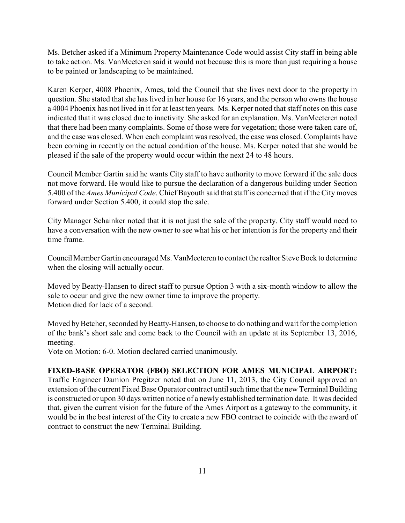Ms. Betcher asked if a Minimum Property Maintenance Code would assist City staff in being able to take action. Ms. VanMeeteren said it would not because this is more than just requiring a house to be painted or landscaping to be maintained.

Karen Kerper, 4008 Phoenix, Ames, told the Council that she lives next door to the property in question. She stated that she has lived in her house for 16 years, and the person who owns the house a 4004 Phoenix has not lived in it for at least ten years. Ms. Kerper noted that staff notes on this case indicated that it was closed due to inactivity. She asked for an explanation. Ms. VanMeeteren noted that there had been many complaints. Some of those were for vegetation; those were taken care of, and the case was closed. When each complaint was resolved, the case was closed. Complaints have been coming in recently on the actual condition of the house. Ms. Kerper noted that she would be pleased if the sale of the property would occur within the next 24 to 48 hours.

Council Member Gartin said he wants City staff to have authority to move forward if the sale does not move forward. He would like to pursue the declaration of a dangerous building under Section 5.400 of the *Ames Municipal Code*. Chief Bayouth said that staff is concerned that if the City moves forward under Section 5.400, it could stop the sale.

City Manager Schainker noted that it is not just the sale of the property. City staff would need to have a conversation with the new owner to see what his or her intention is for the property and their time frame.

Council Member Gartin encouraged Ms. VanMeeteren to contact the realtor Steve Bock to determine when the closing will actually occur.

Moved by Beatty-Hansen to direct staff to pursue Option 3 with a six-month window to allow the sale to occur and give the new owner time to improve the property. Motion died for lack of a second.

Moved by Betcher, seconded by Beatty-Hansen, to choose to do nothing and wait for the completion of the bank's short sale and come back to the Council with an update at its September 13, 2016, meeting.

Vote on Motion: 6-0. Motion declared carried unanimously.

## **FIXED-BASE OPERATOR (FBO) SELECTION FOR AMES MUNICIPAL AIRPORT:**

Traffic Engineer Damion Pregitzer noted that on June 11, 2013, the City Council approved an extension of the current Fixed Base Operator contract until such time that the new Terminal Building is constructed or upon 30 days written notice of a newly established termination date. It was decided that, given the current vision for the future of the Ames Airport as a gateway to the community, it would be in the best interest of the City to create a new FBO contract to coincide with the award of contract to construct the new Terminal Building.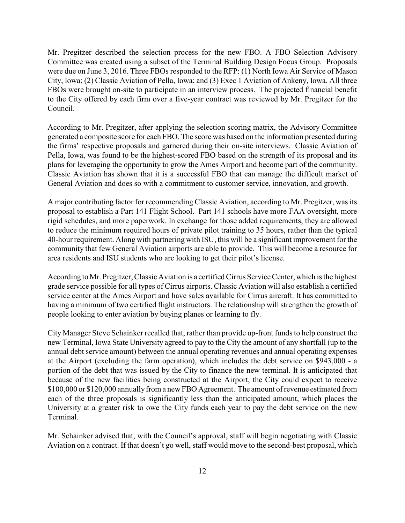Mr. Pregitzer described the selection process for the new FBO. A FBO Selection Advisory Committee was created using a subset of the Terminal Building Design Focus Group. Proposals were due on June 3, 2016. Three FBOs responded to the RFP: (1) North Iowa Air Service of Mason City, Iowa; (2) Classic Aviation of Pella, Iowa; and (3) Exec 1 Aviation of Ankeny, Iowa. All three FBOs were brought on-site to participate in an interview process. The projected financial benefit to the City offered by each firm over a five-year contract was reviewed by Mr. Pregitzer for the Council.

According to Mr. Pregitzer, after applying the selection scoring matrix, the Advisory Committee generated a composite score for each FBO. The score was based on the information presented during the firms' respective proposals and garnered during their on-site interviews. Classic Aviation of Pella, Iowa, was found to be the highest-scored FBO based on the strength of its proposal and its plans for leveraging the opportunity to grow the Ames Airport and become part of the community. Classic Aviation has shown that it is a successful FBO that can manage the difficult market of General Aviation and does so with a commitment to customer service, innovation, and growth.

A major contributing factor for recommending Classic Aviation, according to Mr. Pregitzer, was its proposal to establish a Part 141 Flight School. Part 141 schools have more FAA oversight, more rigid schedules, and more paperwork. In exchange for those added requirements, they are allowed to reduce the minimum required hours of private pilot training to 35 hours, rather than the typical 40-hour requirement. Along with partnering with ISU, this will be a significant improvement for the community that few General Aviation airports are able to provide. This will become a resource for area residents and ISU students who are looking to get their pilot's license.

According to Mr. Pregitzer, Classic Aviation is a certified Cirrus Service Center, which is the highest grade service possible for all types of Cirrus airports. Classic Aviation will also establish a certified service center at the Ames Airport and have sales available for Cirrus aircraft. It has committed to having a minimum of two certified flight instructors. The relationship will strengthen the growth of people looking to enter aviation by buying planes or learning to fly.

City Manager Steve Schainker recalled that, rather than provide up-front funds to help construct the new Terminal, Iowa State University agreed to pay to the City the amount of any shortfall (up to the annual debt service amount) between the annual operating revenues and annual operating expenses at the Airport (excluding the farm operation), which includes the debt service on \$943,000 - a portion of the debt that was issued by the City to finance the new terminal. It is anticipated that because of the new facilities being constructed at the Airport, the City could expect to receive \$100,000 or \$120,000 annually from a new FBO Agreement. The amount of revenue estimated from each of the three proposals is significantly less than the anticipated amount, which places the University at a greater risk to owe the City funds each year to pay the debt service on the new Terminal.

Mr. Schainker advised that, with the Council's approval, staff will begin negotiating with Classic Aviation on a contract. If that doesn't go well, staff would move to the second-best proposal, which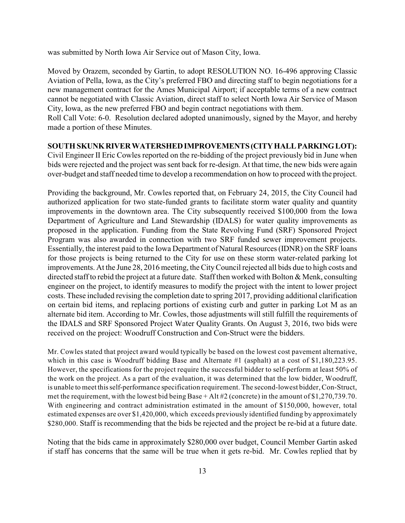was submitted by North Iowa Air Service out of Mason City, Iowa.

Moved by Orazem, seconded by Gartin, to adopt RESOLUTION NO. 16-496 approving Classic Aviation of Pella, Iowa, as the City's preferred FBO and directing staff to begin negotiations for a new management contract for the Ames Municipal Airport; if acceptable terms of a new contract cannot be negotiated with Classic Aviation, direct staff to select North Iowa Air Service of Mason City, Iowa, as the new preferred FBO and begin contract negotiations with them.

Roll Call Vote: 6-0. Resolution declared adopted unanimously, signed by the Mayor, and hereby made a portion of these Minutes.

#### **SOUTH SKUNK RIVER WATERSHED IMPROVEMENTS (CITY HALL PARKING LOT):**

Civil Engineer II Eric Cowles reported on the re-bidding of the project previously bid in June when bids were rejected and the project was sent back for re-design. At that time, the new bids were again over-budget and staff needed time to develop a recommendation on how to proceed with the project.

Providing the background, Mr. Cowles reported that, on February 24, 2015, the City Council had authorized application for two state-funded grants to facilitate storm water quality and quantity improvements in the downtown area. The City subsequently received \$100,000 from the Iowa Department of Agriculture and Land Stewardship (IDALS) for water quality improvements as proposed in the application. Funding from the State Revolving Fund (SRF) Sponsored Project Program was also awarded in connection with two SRF funded sewer improvement projects. Essentially, the interest paid to the Iowa Department of Natural Resources (IDNR) on the SRF loans for those projects is being returned to the City for use on these storm water-related parking lot improvements. At the June 28, 2016 meeting, the City Council rejected all bids due to high costs and directed staff to rebid the project at a future date. Staff then worked with Bolton & Menk, consulting engineer on the project, to identify measures to modify the project with the intent to lower project costs. These included revising the completion date to spring 2017, providing additional clarification on certain bid items, and replacing portions of existing curb and gutter in parking Lot M as an alternate bid item. According to Mr. Cowles, those adjustments will still fulfill the requirements of the IDALS and SRF Sponsored Project Water Quality Grants. On August 3, 2016, two bids were received on the project: Woodruff Construction and Con-Struct were the bidders.

Mr. Cowles stated that project award would typically be based on the lowest cost pavement alternative, which in this case is Woodruff bidding Base and Alternate #1 (asphalt) at a cost of \$1,180,223.95. However, the specifications for the project require the successful bidder to self-perform at least 50% of the work on the project. As a part of the evaluation, it was determined that the low bidder, Woodruff, is unable to meet this self-performance specification requirement. The second-lowest bidder, Con-Struct, met the requirement, with the lowest bid being Base + Alt #2 (concrete) in the amount of \$1,270,739.70. With engineering and contract administration estimated in the amount of \$150,000, however, total estimated expenses are over \$1,420,000, which exceeds previously identified funding by approximately \$280,000. Staff is recommending that the bids be rejected and the project be re-bid at a future date.

Noting that the bids came in approximately \$280,000 over budget, Council Member Gartin asked if staff has concerns that the same will be true when it gets re-bid. Mr. Cowles replied that by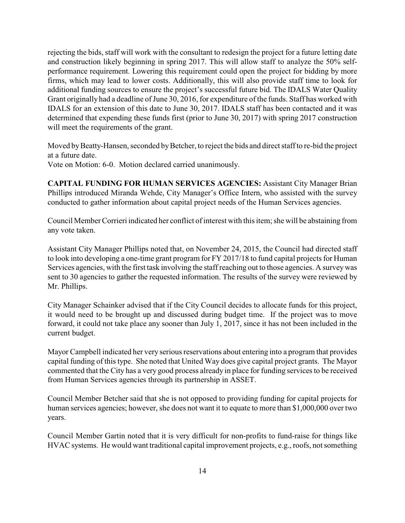rejecting the bids, staff will work with the consultant to redesign the project for a future letting date and construction likely beginning in spring 2017. This will allow staff to analyze the 50% selfperformance requirement. Lowering this requirement could open the project for bidding by more firms, which may lead to lower costs. Additionally, this will also provide staff time to look for additional funding sources to ensure the project's successful future bid. The IDALS Water Quality Grant originally had a deadline of June 30, 2016, for expenditure of the funds. Staff has worked with IDALS for an extension of this date to June 30, 2017. IDALS staff has been contacted and it was determined that expending these funds first (prior to June 30, 2017) with spring 2017 construction will meet the requirements of the grant.

Moved by Beatty-Hansen, seconded by Betcher, to reject the bids and direct staff to re-bid the project at a future date.

Vote on Motion: 6-0. Motion declared carried unanimously.

**CAPITAL FUNDING FOR HUMAN SERVICES AGENCIES:** Assistant City Manager Brian Phillips introduced Miranda Wehde, City Manager's Office Intern, who assisted with the survey conducted to gather information about capital project needs of the Human Services agencies.

Council Member Corrieri indicated her conflict of interest with this item; she will be abstaining from any vote taken.

Assistant City Manager Phillips noted that, on November 24, 2015, the Council had directed staff to look into developing a one-time grant program for FY 2017/18 to fund capital projects for Human Services agencies, with the first task involving the staff reaching out to those agencies. A survey was sent to 30 agencies to gather the requested information. The results of the survey were reviewed by Mr. Phillips.

City Manager Schainker advised that if the City Council decides to allocate funds for this project, it would need to be brought up and discussed during budget time. If the project was to move forward, it could not take place any sooner than July 1, 2017, since it has not been included in the current budget.

Mayor Campbell indicated her very serious reservations about entering into a program that provides capital funding of this type. She noted that United Way does give capital project grants. The Mayor commented that the City has a very good process already in place for funding services to be received from Human Services agencies through its partnership in ASSET.

Council Member Betcher said that she is not opposed to providing funding for capital projects for human services agencies; however, she does not want it to equate to more than \$1,000,000 over two years.

Council Member Gartin noted that it is very difficult for non-profits to fund-raise for things like HVAC systems. He would want traditional capital improvement projects, e.g., roofs, not something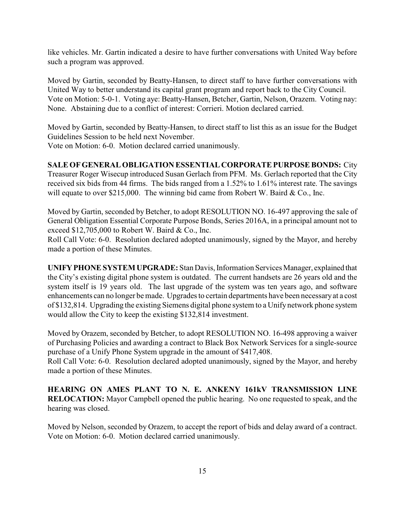like vehicles. Mr. Gartin indicated a desire to have further conversations with United Way before such a program was approved.

Moved by Gartin, seconded by Beatty-Hansen, to direct staff to have further conversations with United Way to better understand its capital grant program and report back to the City Council. Vote on Motion: 5-0-1. Voting aye: Beatty-Hansen, Betcher, Gartin, Nelson, Orazem. Voting nay: None. Abstaining due to a conflict of interest: Corrieri. Motion declared carried.

Moved by Gartin, seconded by Beatty-Hansen, to direct staff to list this as an issue for the Budget Guidelines Session to be held next November.

Vote on Motion: 6-0. Motion declared carried unanimously.

## **SALE OF GENERAL OBLIGATION ESSENTIAL CORPORATE PURPOSE BONDS:** City

Treasurer Roger Wisecup introduced Susan Gerlach from PFM. Ms. Gerlach reported that the City received six bids from 44 firms. The bids ranged from a 1.52% to 1.61% interest rate. The savings will equate to over \$215,000. The winning bid came from Robert W. Baird & Co., Inc.

Moved by Gartin, seconded by Betcher, to adopt RESOLUTION NO. 16-497 approving the sale of General Obligation Essential Corporate Purpose Bonds, Series 2016A, in a principal amount not to exceed \$12,705,000 to Robert W. Baird & Co., Inc.

Roll Call Vote: 6-0. Resolution declared adopted unanimously, signed by the Mayor, and hereby made a portion of these Minutes.

**UNIFY PHONE SYSTEM UPGRADE:** Stan Davis, Information Services Manager, explained that the City's existing digital phone system is outdated. The current handsets are 26 years old and the system itself is 19 years old. The last upgrade of the system was ten years ago, and software enhancements can no longer bemade. Upgrades to certain departments have been necessaryat a cost of \$132,814. Upgrading the existing Siemens digital phone system to a Unify network phone system would allow the City to keep the existing \$132,814 investment.

Moved by Orazem, seconded by Betcher, to adopt RESOLUTION NO. 16-498 approving a waiver of Purchasing Policies and awarding a contract to Black Box Network Services for a single-source purchase of a Unify Phone System upgrade in the amount of \$417,408.

Roll Call Vote: 6-0. Resolution declared adopted unanimously, signed by the Mayor, and hereby made a portion of these Minutes.

**HEARING ON AMES PLANT TO N. E. ANKENY 161kV TRANSMISSION LINE RELOCATION:** Mayor Campbell opened the public hearing. No one requested to speak, and the hearing was closed.

Moved by Nelson, seconded by Orazem, to accept the report of bids and delay award of a contract. Vote on Motion: 6-0. Motion declared carried unanimously.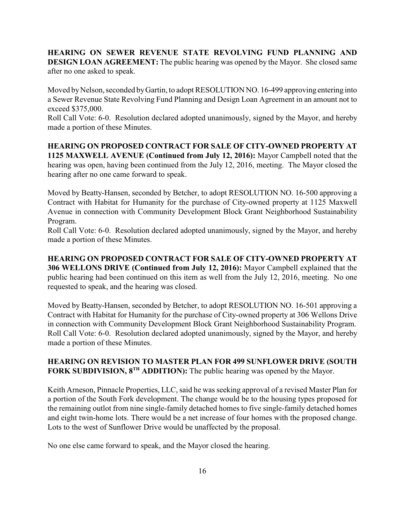**HEARING ON SEWER REVENUE STATE REVOLVING FUND PLANNING AND DESIGN LOAN AGREEMENT:** The public hearing was opened by the Mayor. She closed same after no one asked to speak.

Moved by Nelson, seconded by Gartin, to adopt RESOLUTION NO. 16-499 approving entering into a Sewer Revenue State Revolving Fund Planning and Design Loan Agreement in an amount not to exceed \$375,000.

Roll Call Vote: 6-0. Resolution declared adopted unanimously, signed by the Mayor, and hereby made a portion of these Minutes.

**HEARING ON PROPOSED CONTRACT FOR SALE OF CITY-OWNED PROPERTY AT 1125 MAXWELL AVENUE (Continued from July 12, 2016):** Mayor Campbell noted that the hearing was open, having been continued from the July 12, 2016, meeting. The Mayor closed the hearing after no one came forward to speak.

Moved by Beatty-Hansen, seconded by Betcher, to adopt RESOLUTION NO. 16-500 approving a Contract with Habitat for Humanity for the purchase of City-owned property at 1125 Maxwell Avenue in connection with Community Development Block Grant Neighborhood Sustainability Program.

Roll Call Vote: 6-0. Resolution declared adopted unanimously, signed by the Mayor, and hereby made a portion of these Minutes.

**HEARING ON PROPOSED CONTRACT FOR SALE OF CITY-OWNED PROPERTY AT 306 WELLONS DRIVE (Continued from July 12, 2016):** Mayor Campbell explained that the public hearing had been continued on this item as well from the July 12, 2016, meeting. No one requested to speak, and the hearing was closed.

Moved by Beatty-Hansen, seconded by Betcher, to adopt RESOLUTION NO. 16-501 approving a Contract with Habitat for Humanity for the purchase of City-owned property at 306 Wellons Drive in connection with Community Development Block Grant Neighborhood Sustainability Program. Roll Call Vote: 6-0. Resolution declared adopted unanimously, signed by the Mayor, and hereby made a portion of these Minutes.

## **HEARING ON REVISION TO MASTER PLAN FOR 499 SUNFLOWER DRIVE (SOUTH FORK SUBDIVISION, 8<sup>TH</sup> ADDITION):** The public hearing was opened by the Mayor.

Keith Arneson, Pinnacle Properties, LLC, said he was seeking approval of a revised Master Plan for a portion of the South Fork development. The change would be to the housing types proposed for the remaining outlot from nine single-family detached homes to five single-family detached homes and eight twin-home lots. There would be a net increase of four homes with the proposed change. Lots to the west of Sunflower Drive would be unaffected by the proposal.

No one else came forward to speak, and the Mayor closed the hearing.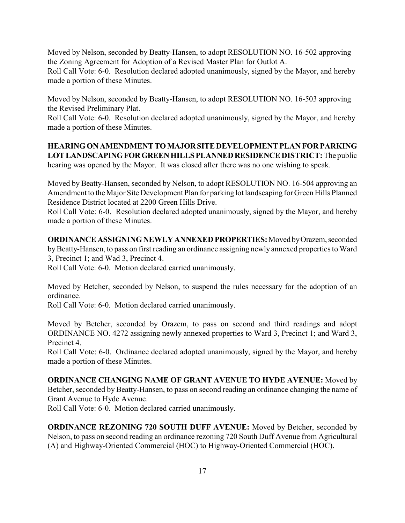Moved by Nelson, seconded by Beatty-Hansen, to adopt RESOLUTION NO. 16-502 approving the Zoning Agreement for Adoption of a Revised Master Plan for Outlot A.

Roll Call Vote: 6-0. Resolution declared adopted unanimously, signed by the Mayor, and hereby made a portion of these Minutes.

Moved by Nelson, seconded by Beatty-Hansen, to adopt RESOLUTION NO. 16-503 approving the Revised Preliminary Plat.

Roll Call Vote: 6-0. Resolution declared adopted unanimously, signed by the Mayor, and hereby made a portion of these Minutes.

**HEARING ON AMENDMENT TO MAJOR SITE DEVELOPMENT PLAN FOR PARKING LOT LANDSCAPING FOR GREEN HILLS PLANNED RESIDENCE DISTRICT:** The public hearing was opened by the Mayor. It was closed after there was no one wishing to speak.

Moved by Beatty-Hansen, seconded by Nelson, to adopt RESOLUTION NO. 16-504 approving an Amendment to the Major Site Development Plan for parking lot landscaping for Green Hills Planned Residence District located at 2200 Green Hills Drive.

Roll Call Vote: 6-0. Resolution declared adopted unanimously, signed by the Mayor, and hereby made a portion of these Minutes.

**ORDINANCE ASSIGNING NEWLY ANNEXED PROPERTIES:** Moved by Orazem, seconded by Beatty-Hansen, to pass on first reading an ordinance assigning newly annexed properties to Ward 3, Precinct 1; and Wad 3, Precinct 4.

Roll Call Vote: 6-0. Motion declared carried unanimously.

Moved by Betcher, seconded by Nelson, to suspend the rules necessary for the adoption of an ordinance.

Roll Call Vote: 6-0. Motion declared carried unanimously.

Moved by Betcher, seconded by Orazem, to pass on second and third readings and adopt ORDINANCE NO. 4272 assigning newly annexed properties to Ward 3, Precinct 1; and Ward 3, Precinct 4.

Roll Call Vote: 6-0. Ordinance declared adopted unanimously, signed by the Mayor, and hereby made a portion of these Minutes.

**ORDINANCE CHANGING NAME OF GRANT AVENUE TO HYDE AVENUE:** Moved by Betcher, seconded by Beatty-Hansen, to pass on second reading an ordinance changing the name of Grant Avenue to Hyde Avenue.

Roll Call Vote: 6-0. Motion declared carried unanimously.

**ORDINANCE REZONING 720 SOUTH DUFF AVENUE:** Moved by Betcher, seconded by Nelson, to pass on second reading an ordinance rezoning 720 South Duff Avenue from Agricultural (A) and Highway-Oriented Commercial (HOC) to Highway-Oriented Commercial (HOC).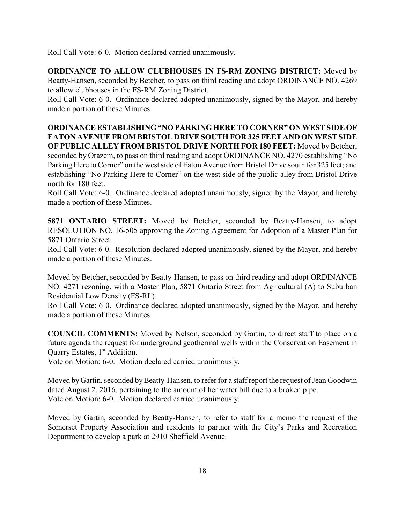Roll Call Vote: 6-0. Motion declared carried unanimously.

**ORDINANCE TO ALLOW CLUBHOUSES IN FS-RM ZONING DISTRICT:** Moved by Beatty-Hansen, seconded by Betcher, to pass on third reading and adopt ORDINANCE NO. 4269 to allow clubhouses in the FS-RM Zoning District.

Roll Call Vote: 6-0. Ordinance declared adopted unanimously, signed by the Mayor, and hereby made a portion of these Minutes.

**ORDINANCE ESTABLISHING "NO PARKING HERE TO CORNER" ON WEST SIDE OF EATON AVENUE FROM BRISTOL DRIVE SOUTH FOR 325 FEET AND ON WEST SIDE OF PUBLIC ALLEY FROM BRISTOL DRIVE NORTH FOR 180 FEET:** Moved by Betcher, seconded by Orazem, to pass on third reading and adopt ORDINANCE NO. 4270 establishing "No Parking Here to Corner" on the west side of Eaton Avenue from Bristol Drive south for 325 feet; and establishing "No Parking Here to Corner" on the west side of the public alley from Bristol Drive north for 180 feet.

Roll Call Vote: 6-0. Ordinance declared adopted unanimously, signed by the Mayor, and hereby made a portion of these Minutes.

**5871 ONTARIO STREET:** Moved by Betcher, seconded by Beatty-Hansen, to adopt RESOLUTION NO. 16-505 approving the Zoning Agreement for Adoption of a Master Plan for 5871 Ontario Street.

Roll Call Vote: 6-0. Resolution declared adopted unanimously, signed by the Mayor, and hereby made a portion of these Minutes.

Moved by Betcher, seconded by Beatty-Hansen, to pass on third reading and adopt ORDINANCE NO. 4271 rezoning, with a Master Plan, 5871 Ontario Street from Agricultural (A) to Suburban Residential Low Density (FS-RL).

Roll Call Vote: 6-0. Ordinance declared adopted unanimously, signed by the Mayor, and hereby made a portion of these Minutes.

**COUNCIL COMMENTS:** Moved by Nelson, seconded by Gartin, to direct staff to place on a future agenda the request for underground geothermal wells within the Conservation Easement in Quarry Estates,  $1<sup>st</sup>$  Addition.

Vote on Motion: 6-0. Motion declared carried unanimously.

Moved by Gartin, seconded by Beatty-Hansen, to refer for a staff report the request of Jean Goodwin dated August 2, 2016, pertaining to the amount of her water bill due to a broken pipe. Vote on Motion: 6-0. Motion declared carried unanimously.

Moved by Gartin, seconded by Beatty-Hansen, to refer to staff for a memo the request of the Somerset Property Association and residents to partner with the City's Parks and Recreation Department to develop a park at 2910 Sheffield Avenue.